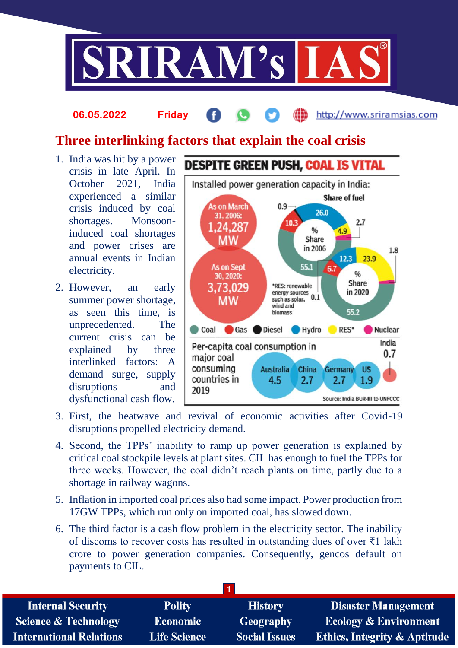

#### http://www.sriramsias.com **06.05.2022 Friday**

# **Three interlinking factors that explain the coal crisis**

- 1. India was hit by a power crisis in late April. In October 2021, India experienced a similar crisis induced by coal shortages. Monsooninduced coal shortages and power crises are annual events in Indian electricity.
- 2. However, an early summer power shortage, as seen this time, is unprecedented. The current crisis can be explained by three interlinked factors: A demand surge, supply disruptions and dysfunctional cash flow.



- 3. First, the heatwave and revival of economic activities after Covid-19 disruptions propelled electricity demand.
- 4. Second, the TPPs' inability to ramp up power generation is explained by critical coal stockpile levels at plant sites. CIL has enough to fuel the TPPs for three weeks. However, the coal didn't reach plants on time, partly due to a shortage in railway wagons.
- 5. Inflation in imported coal prices also had some impact. Power production from 17GW TPPs, which run only on imported coal, has slowed down.
- 6. The third factor is a cash flow problem in the electricity sector. The inability of discoms to recover costs has resulted in outstanding dues of over ₹1 lakh crore to power generation companies. Consequently, gencos default on payments to CIL.

| <b>Polity</b>       | <b>History</b>       | <b>Disaster Management</b>              |
|---------------------|----------------------|-----------------------------------------|
| <b>Economic</b>     | Geography            | <b>Ecology &amp; Environment</b>        |
| <b>Life Science</b> | <b>Social Issues</b> | <b>Ethics, Integrity &amp; Aptitude</b> |
|                     |                      |                                         |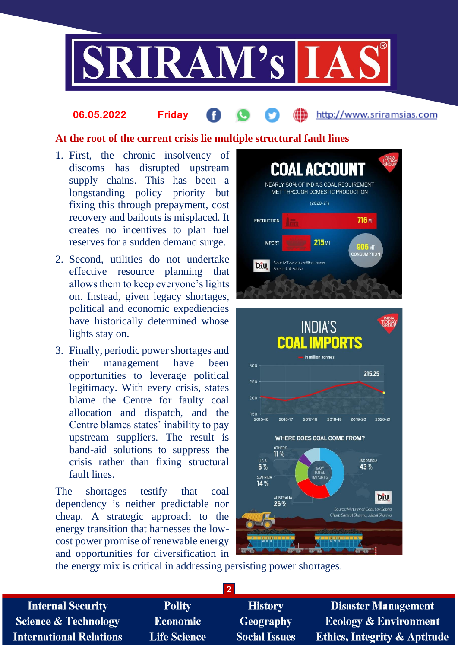

### **At the root of the current crisis lie multiple structural fault lines**

1. First, the chronic insolvency of discoms has disrupted upstream supply chains. This has been a longstanding policy priority but fixing this through prepayment, cost recovery and bailouts is misplaced. It creates no incentives to plan fuel reserves for a sudden demand surge.

**06.05.2022 Friday**

- 2. Second, utilities do not undertake effective resource planning that allows them to keep everyone's lights on. Instead, given legacy shortages, political and economic expediencies have historically determined whose lights stay on.
- 3. Finally, periodic power shortages and their management have been opportunities to leverage political legitimacy. With every crisis, states blame the Centre for faulty coal allocation and dispatch, and the Centre blames states' inability to pay upstream suppliers. The result is band-aid solutions to suppress the crisis rather than fixing structural fault lines.

The shortages testify that coal dependency is neither predictable nor cheap. A strategic approach to the energy transition that harnesses the lowcost power promise of renewable energy and opportunities for diversification in



http://www.sriramsias.com



the energy mix is critical in addressing persisting power shortages.

| <b>Polity</b>       | <b>History</b>       | <b>Disaster Management</b>              |
|---------------------|----------------------|-----------------------------------------|
| <b>Economic</b>     | <b>Geography</b>     | <b>Ecology &amp; Environment</b>        |
| <b>Life Science</b> | <b>Social Issues</b> | <b>Ethics, Integrity &amp; Aptitude</b> |
|                     |                      |                                         |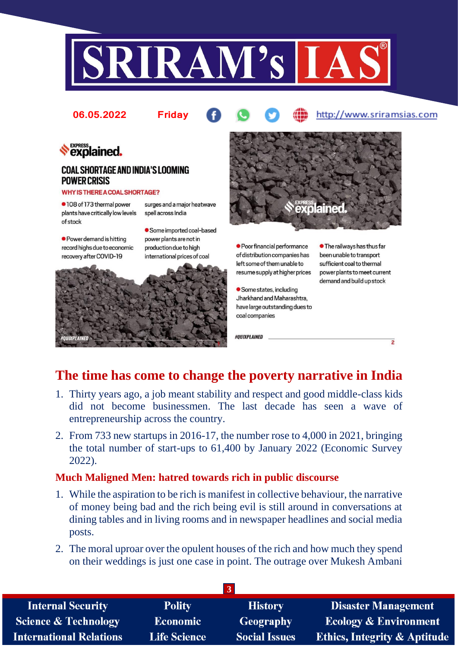



# **The time has come to change the poverty narrative in India**

 $\overline{2}$ 

- 1. Thirty years ago, a job meant stability and respect and good middle-class kids did not become businessmen. The last decade has seen a wave of entrepreneurship across the country.
- 2. From 733 new startups in 2016-17, the number rose to 4,000 in 2021, bringing the total number of start-ups to 61,400 by January 2022 (Economic Survey 2022).

#### **Much Maligned Men: hatred towards rich in public discourse**

- 1. While the aspiration to be rich is manifest in collective behaviour, the narrative of money being bad and the rich being evil is still around in conversations at dining tables and in living rooms and in newspaper headlines and social media posts.
- 2. The moral uproar over the opulent houses of the rich and how much they spend on their weddings is just one case in point. The outrage over Mukesh Ambani

| $\mathbf{3}$                    |                     |                      |                                         |  |  |
|---------------------------------|---------------------|----------------------|-----------------------------------------|--|--|
| <b>Internal Security</b>        | <b>Polity</b>       | <b>History</b>       | <b>Disaster Management</b>              |  |  |
| <b>Science &amp; Technology</b> | <b>Economic</b>     | <b>Geography</b>     | <b>Ecology &amp; Environment</b>        |  |  |
| <b>International Relations</b>  | <b>Life Science</b> | <b>Social Issues</b> | <b>Ethics, Integrity &amp; Aptitude</b> |  |  |